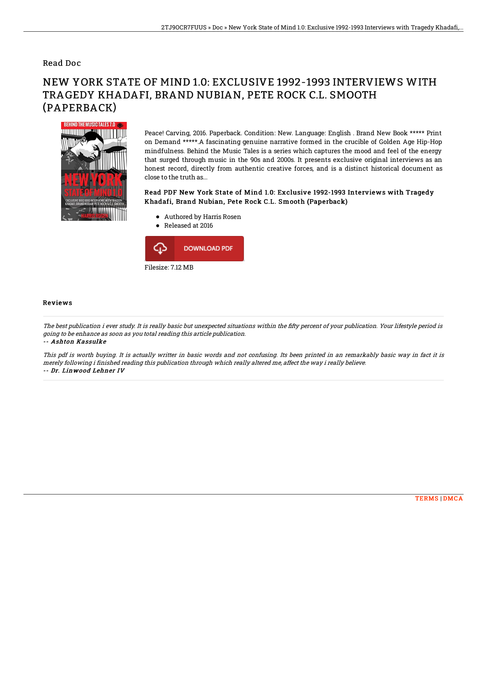## Read Doc

# NEW YORK STATE OF MIND 1.0: EXCLUSIVE 1992-1993 INTERVIEWS WITH TRAGEDY KHADAFI, BRAND NUBIAN, PETE ROCK C.L. SMOOTH (PAPERBACK)



Peace! Carving, 2016. Paperback. Condition: New. Language: English . Brand New Book \*\*\*\*\* Print on Demand \*\*\*\*\*.A fascinating genuine narrative formed in the crucible of Golden Age Hip-Hop mindfulness. Behind the Music Tales is a series which captures the mood and feel of the energy that surged through music in the 90s and 2000s. It presents exclusive original interviews as an honest record, directly from authentic creative forces, and is a distinct historical document as close to the truth as...

### Read PDF New York State of Mind 1.0: Exclusive 1992-1993 Interviews with Tragedy Khadafi, Brand Nubian, Pete Rock C.L. Smooth (Paperback)

- Authored by Harris Rosen
- Released at 2016



#### Reviews

The best publication i ever study. It is really basic but unexpected situations within the fifty percent of your publication. Your lifestyle period is going to be enhance as soon as you total reading this article publication.

-- Ashton Kassulke

This pdf is worth buying. It is actually writter in basic words and not confusing. Its been printed in an remarkably basic way in fact it is merely following i finished reading this publication through which really altered me, affect the way i really believe. -- Dr. Linwood Lehner IV